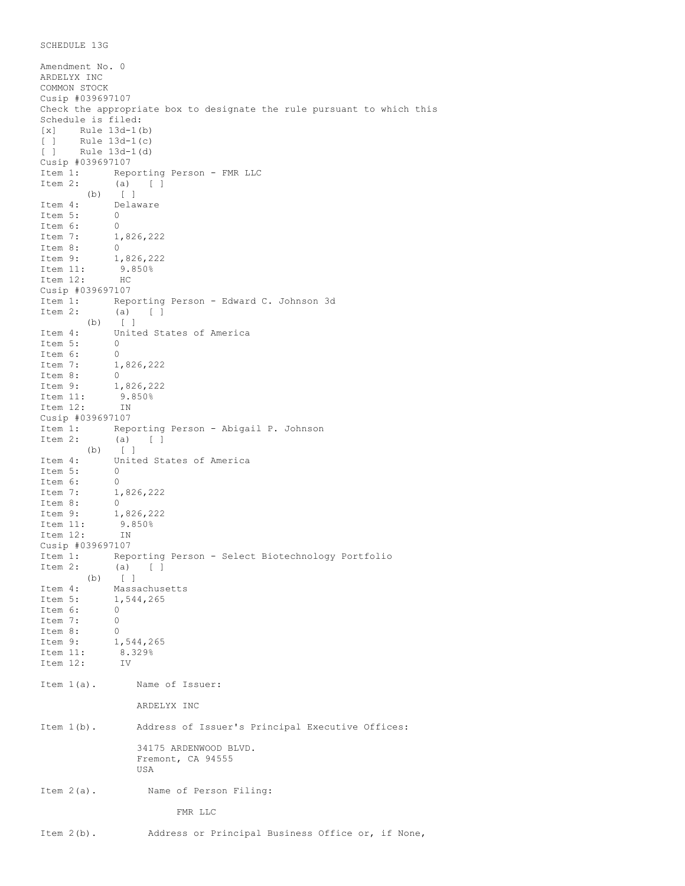```
SCHEDULE 13G
```
Amendment No. 0 ARDELYX INC COMMON STOCK Cusip #039697107 Check the appropriate box to designate the rule pursuant to which this Schedule is filed: [x] Rule 13d-1(b) [ ] Rule 13d-1(c)<br>[ ] Rule 13d-1(d)  $rule 13d-1(d)$ Cusip #039697107 Item 1: Reporting Person - FMR LLC<br>Item 2: (a) [ ] (a) [ ]  $(b)$   $\begin{bmatrix} 1 \\ 1 \end{bmatrix}$ Item 4: Delaware<br>Item 5: 0 Item 5: 0<br>Item 6: 0 Item 6:<br>Item 7: 1,826,222 Item 8:  $0$ <br>Item 9:  $1$ , Item 9: 1,826,222<br>Item 11: 9.850%  $9.850%$  HC Item  $12:$ Cusip #039697107<br>Item 1: Rep Reporting Person - Edward C. Johnson 3d Item 2: (a) [ ]  $(b)$   $\begin{bmatrix} 1 \end{bmatrix}$ Item 4: United States of America Item 5: 0 Item 6: 0<br>Item 7: 1,  $1,826,222$ <br>0 Item 8: 0 Item 9: 1,826,222<br>Item 11: 9.850% .<br>9.850%<br>IN Item 12: Cusip #039697107<br>Item 1: Repe Reporting Person - Abigail P. Johnson Item 2: (a) [ ] (b) [ ] Item 4: United States of America Item 5: 0<br>Item 6: 0 Item 6: Item 7: 1,826,222<br>Item 8: 0 Item 8:<br>Item 9: 1,826,222 Item 11: 9.850%<br>Item 12: IN Item  $12:$ Cusip #039697107 Item 1: Reporting Person - Select Biotechnology Portfolio<br>Item 2: (a) [ ] Item 2: (a) [ ] (b) [ ] Item 4: Massachusetts Item 5: 1,544,265<br>Item 6: 0 Item 6: 0<br>Item 7: 0 Item 7: 0 Item 8:  $0$ <br>Item 9:  $1$ , 1,544,265<br>8.329% Item 11: Item 12: IV Item 1(a). Name of Issuer: ARDELYX INC Item 1(b). Address of Issuer's Principal Executive Offices: 34175 ARDENWOOD BLVD. Fremont, CA 94555 USA Item 2(a). Name of Person Filing: FMR LLC Item 2(b). Address or Principal Business Office or, if None,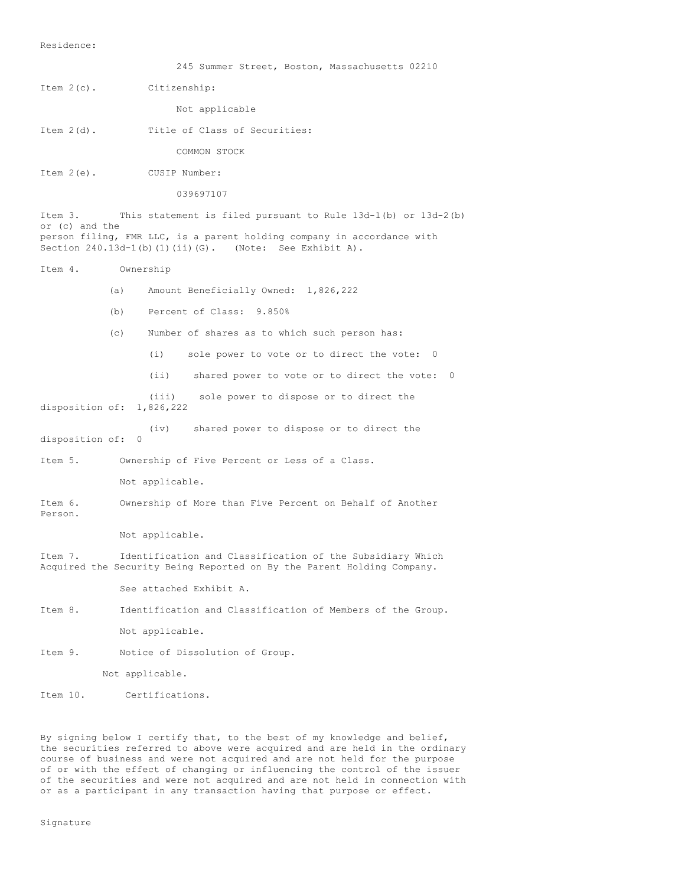245 Summer Street, Boston, Massachusetts 02210 Item 2(c). Citizenship: Not applicable Item 2(d). Title of Class of Securities: COMMON STOCK Item 2(e). CUSIP Number: 039697107 Item 3. This statement is filed pursuant to Rule 13d-1(b) or 13d-2(b) or (c) and the person filing, FMR LLC, is a parent holding company in accordance with Section 240.13d-1(b)(1)(ii)(G). (Note: See Exhibit A). Item 4. Ownership (a) Amount Beneficially Owned: 1,826,222 (b) Percent of Class: 9.850% (c) Number of shares as to which such person has: (i) sole power to vote or to direct the vote: 0 (ii) shared power to vote or to direct the vote: 0 (iii) sole power to dispose or to direct the disposition of: 1,826,222 (iv) shared power to dispose or to direct the disposition of: 0 Item 5. Ownership of Five Percent or Less of a Class. Not applicable. Item 6. Ownership of More than Five Percent on Behalf of Another Person. Not applicable. Item 7. Identification and Classification of the Subsidiary Which Acquired the Security Being Reported on By the Parent Holding Company. See attached Exhibit A. Item 8. Identification and Classification of Members of the Group. Not applicable. Item 9. Notice of Dissolution of Group. Not applicable. Item 10. Certifications.

By signing below I certify that, to the best of my knowledge and belief, the securities referred to above were acquired and are held in the ordinary course of business and were not acquired and are not held for the purpose of or with the effect of changing or influencing the control of the issuer of the securities and were not acquired and are not held in connection with or as a participant in any transaction having that purpose or effect.

Signature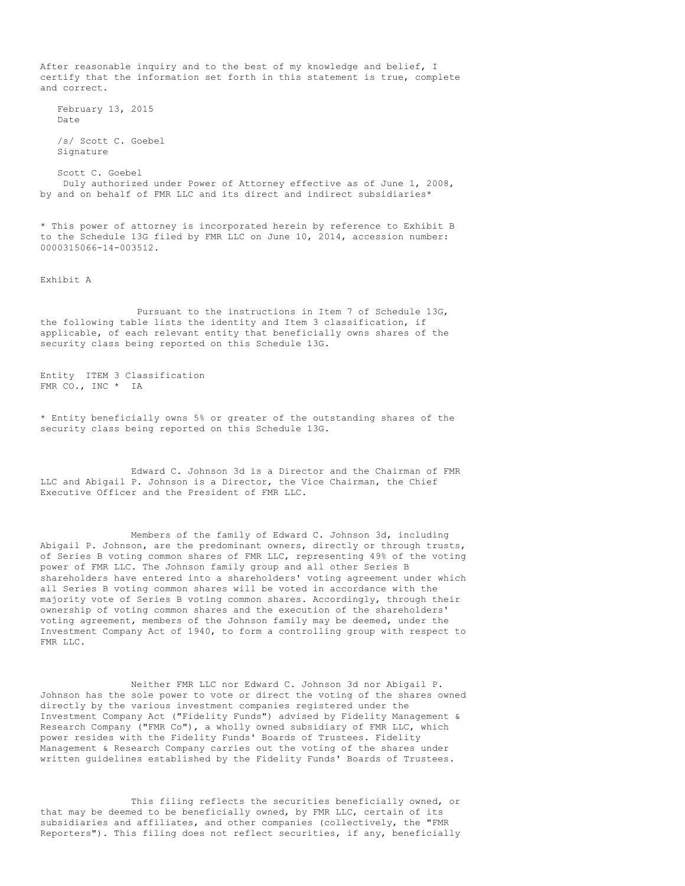After reasonable inquiry and to the best of my knowledge and belief, I certify that the information set forth in this statement is true, complete and correct.

February 13, 2015 Date

/s/ Scott C. Goebel Signature

Scott C. Goebel Duly authorized under Power of Attorney effective as of June 1, 2008, by and on behalf of FMR LLC and its direct and indirect subsidiaries\*

\* This power of attorney is incorporated herein by reference to Exhibit B to the Schedule 13G filed by FMR LLC on June 10, 2014, accession number: 0000315066-14-003512.

Exhibit A

Pursuant to the instructions in Item 7 of Schedule 13G, the following table lists the identity and Item 3 classification, if applicable, of each relevant entity that beneficially owns shares of the security class being reported on this Schedule 13G.

Entity ITEM 3 Classification FMR CO., INC \* IA

\* Entity beneficially owns 5% or greater of the outstanding shares of the security class being reported on this Schedule 13G.

Edward C. Johnson 3d is a Director and the Chairman of FMR LLC and Abigail P. Johnson is a Director, the Vice Chairman, the Chief Executive Officer and the President of FMR LLC.

Members of the family of Edward C. Johnson 3d, including Abigail P. Johnson, are the predominant owners, directly or through trusts, of Series B voting common shares of FMR LLC, representing 49% of the voting power of FMR LLC. The Johnson family group and all other Series B shareholders have entered into a shareholders' voting agreement under which all Series B voting common shares will be voted in accordance with the majority vote of Series B voting common shares. Accordingly, through their ownership of voting common shares and the execution of the shareholders' voting agreement, members of the Johnson family may be deemed, under the Investment Company Act of 1940, to form a controlling group with respect to FMR LLC.

Neither FMR LLC nor Edward C. Johnson 3d nor Abigail P. Johnson has the sole power to vote or direct the voting of the shares owned directly by the various investment companies registered under the Investment Company Act ("Fidelity Funds") advised by Fidelity Management & Research Company ("FMR Co"), a wholly owned subsidiary of FMR LLC, which power resides with the Fidelity Funds' Boards of Trustees. Fidelity Management & Research Company carries out the voting of the shares under written guidelines established by the Fidelity Funds' Boards of Trustees.

This filing reflects the securities beneficially owned, or that may be deemed to be beneficially owned, by FMR LLC, certain of its subsidiaries and affiliates, and other companies (collectively, the "FMR Reporters"). This filing does not reflect securities, if any, beneficially